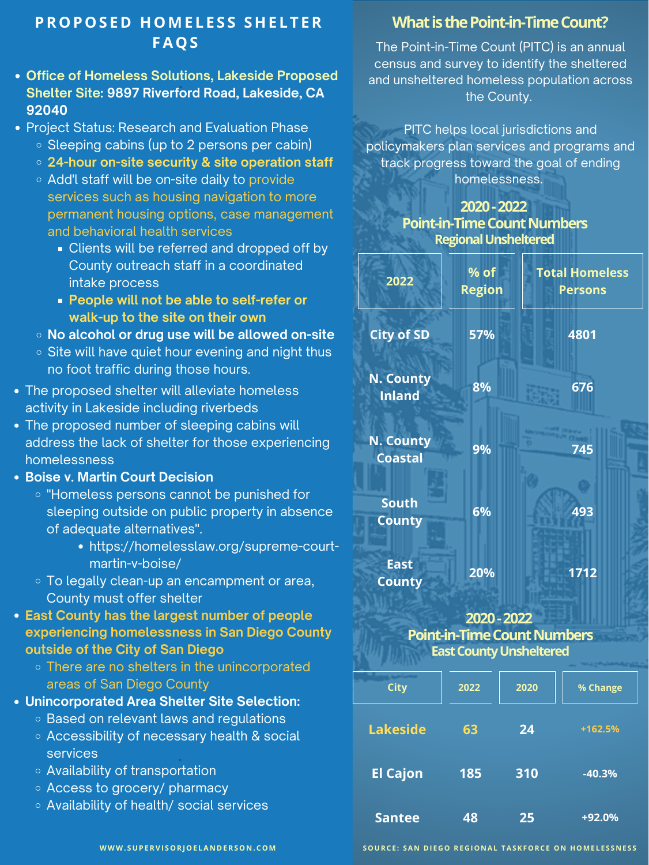| 2022                                         | $%$ of<br><b>Region</b> | <b>Total Homeless</b><br><b>Persons</b> |
|----------------------------------------------|-------------------------|-----------------------------------------|
| <b>City of SD</b>                            | 57%                     | 4801                                    |
| <b>N. County</b><br><b>Inland</b>            | 8%                      | 676                                     |
| <b>N. County</b><br><b>Provident Control</b> | 9%                      | 745                                     |

# **PROPOS E D HOME L E S S SHE L T ER FAQS**

**WWW. SUPERVI SORJOE LA N D ERSO N .COM**



The Point-in-Time Count (PITC) is an annual census and survey to identify the sheltered and unsheltered homeless population across the County.

PITC helps local jurisdictions and policymakers plan services and programs and track progress toward the goal of ending homelessness.

#### **2020-2022 Point-in-Time Count Numbers RegionalUnsheltered**

- **Office of Homeless Solutions, Lakeside Proposed Shelter Site: 9897 Riverford Road, Lakeside, CA 92040**
- Project Status: Research and Evaluation Phase
	- $\circ$  Sleeping cabins (up to 2 persons per cabin)
	- **24-hour on-site security & site operation staff**
	- **Add'l staff will be on-site daily to provide** services such as housing navigation to more permanent housing options, case management and behavioral health services
		- **Clients will be referred and dropped off by** County outreach staff in a coordinated intake process
		- **People will not be able to self-refer or walk-up to the site on their own**
	- **No alcohol or drug use will be allowed on-site**
	- o Site will have quiet hour evening and night thus no foot traffic during those hours.
- The proposed shelter will alleviate homeless activity in Lakeside including riverbeds
- The proposed number of sleeping cabins will address the lack of shelter for those experiencing

### **What is the Point-in-Time Count?**

homelessness

- **Boise v. Martin Court Decision**
	- o "Homeless persons cannot be punished for sleeping outside on public property in absence of adequate alternatives".
		- https://homelesslaw.org/supreme-courtmartin-v-boise/
	- To legally clean-up an encampment or area, County must offer shelter
- **East County has the largest number of people experiencing homelessness in San Diego County outside of the City of San Diego**
	- o There are no shelters in the unincorporated areas of San Diego County
- **Unincorporated Area Shelter Site Selection:**
	- o Based on relevant laws and regulations
	- Accessibility of necessary health & social services

- Availability of transportation
- Access to grocery/ pharmacy
- Availability of health/ social services